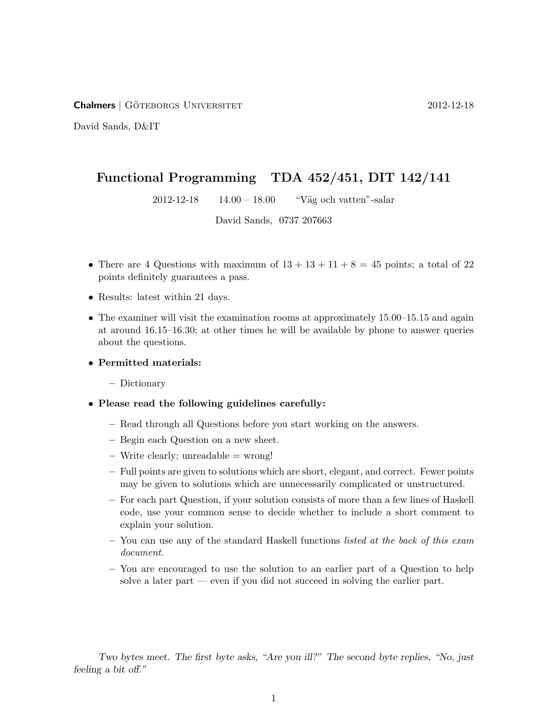Chalmers | Goteborgs Universitet ¨ 2012-12-18

David Sands, D&IT

## Functional Programming TDA 452/451, DIT 142/141

 $2012-12-18$  14.00 – 18.00 "Väg och vatten"-salar

David Sands, 0737 207663

- There are 4 Questions with maximum of  $13 + 13 + 11 + 8 = 45$  points; a total of 22 points definitely guarantees a pass.
- Results: latest within 21 days.
- The examiner will visit the examination rooms at approximately 15.00–15.15 and again at around 16.15–16.30; at other times he will be available by phone to answer queries about the questions.

## • Permitted materials:

– Dictionary

## • Please read the following guidelines carefully:

- Read through all Questions before you start working on the answers.
- Begin each Question on a new sheet.
- $-$  Write clearly; unreadable  $=$  wrong!
- Full points are given to solutions which are short, elegant, and correct. Fewer points may be given to solutions which are unnecessarily complicated or unstructured.
- For each part Question, if your solution consists of more than a few lines of Haskell code, use your common sense to decide whether to include a short comment to explain your solution.
- $-$  You can use any of the standard Haskell functions *listed at the back of this exam* document.
- You are encouraged to use the solution to an earlier part of a Question to help solve a later part — even if you did not succeed in solving the earlier part.

Two bytes meet. The first byte asks, "Are you ill?" The second byte replies, "No, just feeling a bit off."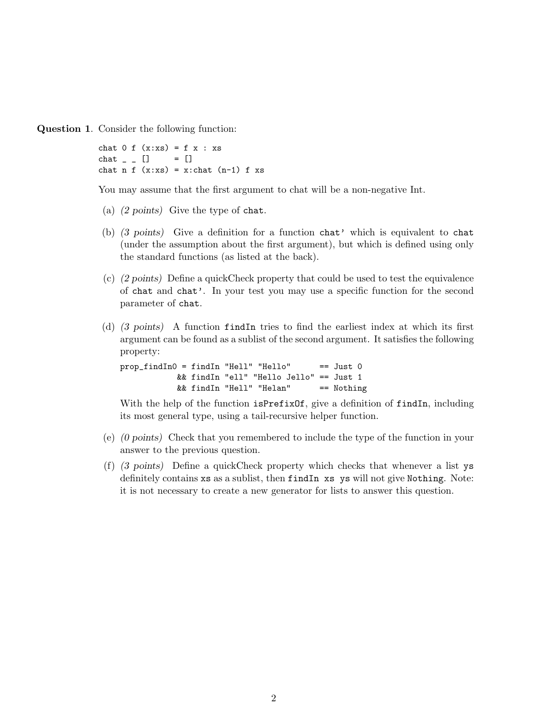Question 1. Consider the following function:

```
chat 0 \text{ f } (x:xs) = f x : xschat \_ - \_ [] = []
chat n f (x:xs) = x:chat (n-1) f xs
```
You may assume that the first argument to chat will be a non-negative Int.

- (a) (2 points) Give the type of chat.
- (b) (3 points) Give a definition for a function chat' which is equivalent to chat (under the assumption about the first argument), but which is defined using only the standard functions (as listed at the back).
- (c) (2 points) Define a quickCheck property that could be used to test the equivalence of chat and chat'. In your test you may use a specific function for the second parameter of chat.
- (d) (3 points) A function findIn tries to find the earliest index at which its first argument can be found as a sublist of the second argument. It satisfies the following property:

prop\_findIn0 = findIn "Hell" "Hello" == Just 0 && findIn "ell" "Hello Jello" == Just 1 && findIn "Hell" "Helan" == Nothing

With the help of the function isPrefixOf, give a definition of findIn, including its most general type, using a tail-recursive helper function.

- (e) (0 points) Check that you remembered to include the type of the function in your answer to the previous question.
- (f) (3 points) Define a quickCheck property which checks that whenever a list ys definitely contains xs as a sublist, then findIn xs ys will not give Nothing. Note: it is not necessary to create a new generator for lists to answer this question.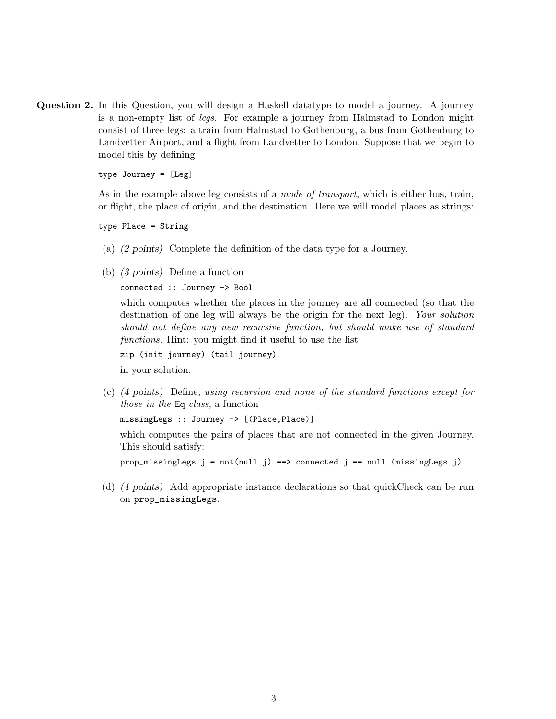Question 2. In this Question, you will design a Haskell datatype to model a journey. A journey is a non-empty list of legs. For example a journey from Halmstad to London might consist of three legs: a train from Halmstad to Gothenburg, a bus from Gothenburg to Landvetter Airport, and a flight from Landvetter to London. Suppose that we begin to model this by defining

type Journey = [Leg]

As in the example above leg consists of a mode of transport, which is either bus, train, or flight, the place of origin, and the destination. Here we will model places as strings:

type Place = String

- (a) (2 points) Complete the definition of the data type for a Journey.
- (b) (3 points) Define a function

connected :: Journey -> Bool

which computes whether the places in the journey are all connected (so that the destination of one leg will always be the origin for the next leg). Your solution should not define any new recursive function, but should make use of standard functions. Hint: you might find it useful to use the list

zip (init journey) (tail journey)

in your solution.

(c) (4 points) Define, using recursion and none of the standard functions except for those in the Eq class, a function

missingLegs :: Journey -> [(Place,Place)]

which computes the pairs of places that are not connected in the given Journey. This should satisfy:

prop\_missingLegs  $j = not (null j) ==$  connected  $j == null (missingLeg j)$ 

(d) (4 points) Add appropriate instance declarations so that quickCheck can be run on prop\_missingLegs.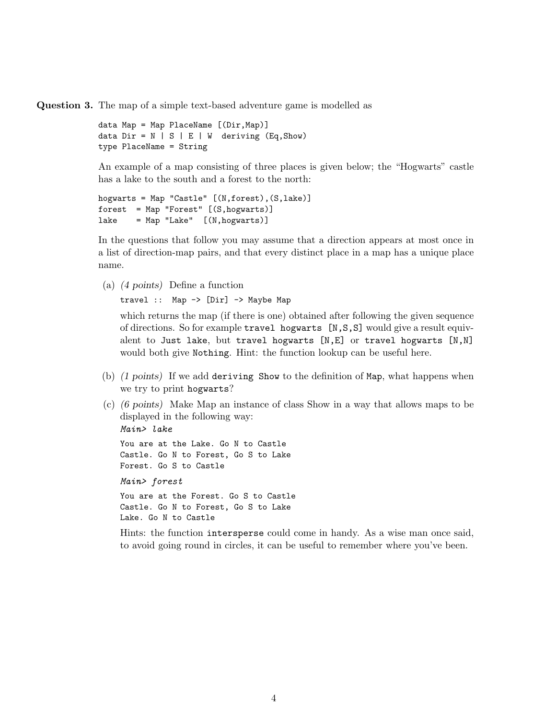Question 3. The map of a simple text-based adventure game is modelled as

```
data Map = Map PlaceName [(Dir,Map)]
data Dir = N | S | E | W deriving (Eq, Show)type PlaceName = String
```
An example of a map consisting of three places is given below; the "Hogwarts" castle has a lake to the south and a forest to the north:

```
hogwarts = Map "Castle" [(N,forest),(S,lake)]
forest = Map "Forest" [(S,hogwarts)]
\text{Take} = \text{Map} "Lake" [(N, \text{hogwarts})]
```
In the questions that follow you may assume that a direction appears at most once in a list of direction-map pairs, and that every distinct place in a map has a unique place name.

(a) (4 points) Define a function

travel :: Map -> [Dir] -> Maybe Map

which returns the map (if there is one) obtained after following the given sequence of directions. So for example travel hogwarts  $[N, S, S]$  would give a result equivalent to Just lake, but travel hogwarts [N,E] or travel hogwarts [N,N] would both give Nothing. Hint: the function lookup can be useful here.

- (b) (1 points) If we add deriving Show to the definition of Map, what happens when we try to print hogwarts?
- (c) (6 points) Make Map an instance of class Show in a way that allows maps to be displayed in the following way: Main> lake

You are at the Lake. Go N to Castle Castle. Go N to Forest, Go S to Lake Forest. Go S to Castle Main> forest You are at the Forest. Go S to Castle Castle. Go N to Forest, Go S to Lake Lake. Go N to Castle

Hints: the function intersperse could come in handy. As a wise man once said, to avoid going round in circles, it can be useful to remember where you've been.